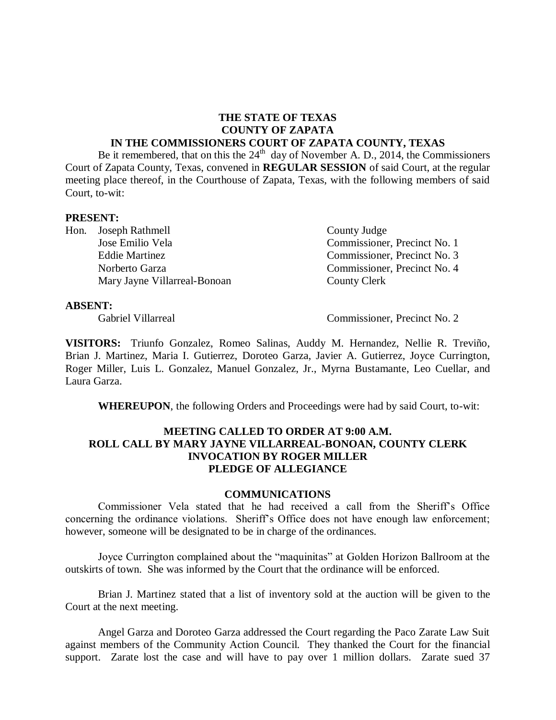#### **THE STATE OF TEXAS COUNTY OF ZAPATA IN THE COMMISSIONERS COURT OF ZAPATA COUNTY, TEXAS**

Be it remembered, that on this the  $24<sup>th</sup>$  day of November A. D., 2014, the Commissioners Court of Zapata County, Texas, convened in **REGULAR SESSION** of said Court, at the regular meeting place thereof, in the Courthouse of Zapata, Texas, with the following members of said Court, to-wit:

#### **PRESENT:**

Hon. Joseph Rathmell County Judge Mary Jayne Villarreal-Bonoan County Clerk

Jose Emilio Vela Commissioner, Precinct No. 1 Eddie Martinez Commissioner, Precinct No. 3 Norberto Garza Commissioner, Precinct No. 4

#### **ABSENT:**

Gabriel Villarreal Commissioner, Precinct No. 2

**VISITORS:** Triunfo Gonzalez, Romeo Salinas, Auddy M. Hernandez, Nellie R. Treviño, Brian J. Martinez, Maria I. Gutierrez, Doroteo Garza, Javier A. Gutierrez, Joyce Currington, Roger Miller, Luis L. Gonzalez, Manuel Gonzalez, Jr., Myrna Bustamante, Leo Cuellar, and Laura Garza.

**WHEREUPON**, the following Orders and Proceedings were had by said Court, to-wit:

## **MEETING CALLED TO ORDER AT 9:00 A.M. ROLL CALL BY MARY JAYNE VILLARREAL-BONOAN, COUNTY CLERK INVOCATION BY ROGER MILLER PLEDGE OF ALLEGIANCE**

#### **COMMUNICATIONS**

Commissioner Vela stated that he had received a call from the Sheriff's Office concerning the ordinance violations. Sheriff's Office does not have enough law enforcement; however, someone will be designated to be in charge of the ordinances.

Joyce Currington complained about the "maquinitas" at Golden Horizon Ballroom at the outskirts of town. She was informed by the Court that the ordinance will be enforced.

Brian J. Martinez stated that a list of inventory sold at the auction will be given to the Court at the next meeting.

Angel Garza and Doroteo Garza addressed the Court regarding the Paco Zarate Law Suit against members of the Community Action Council. They thanked the Court for the financial support. Zarate lost the case and will have to pay over 1 million dollars. Zarate sued 37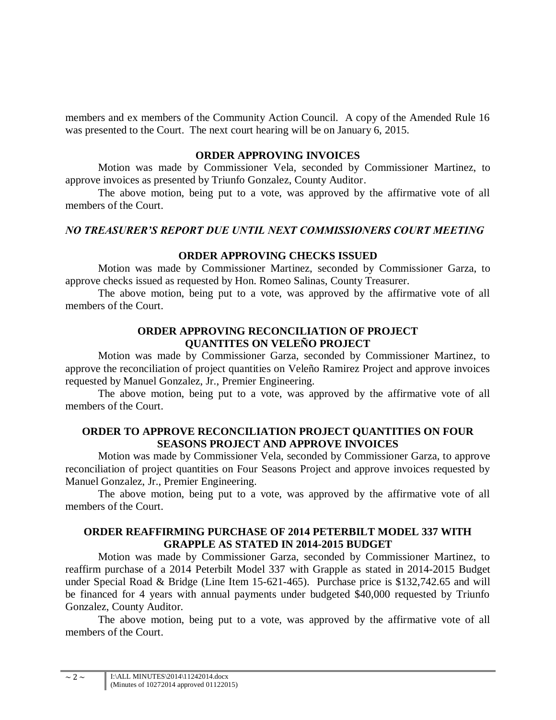members and ex members of the Community Action Council. A copy of the Amended Rule 16 was presented to the Court. The next court hearing will be on January 6, 2015.

#### **ORDER APPROVING INVOICES**

Motion was made by Commissioner Vela, seconded by Commissioner Martinez, to approve invoices as presented by Triunfo Gonzalez, County Auditor.

The above motion, being put to a vote, was approved by the affirmative vote of all members of the Court.

## *NO TREASURER'S REPORT DUE UNTIL NEXT COMMISSIONERS COURT MEETING*

## **ORDER APPROVING CHECKS ISSUED**

Motion was made by Commissioner Martinez, seconded by Commissioner Garza, to approve checks issued as requested by Hon. Romeo Salinas, County Treasurer.

The above motion, being put to a vote, was approved by the affirmative vote of all members of the Court.

#### **ORDER APPROVING RECONCILIATION OF PROJECT QUANTITES ON VELEÑO PROJECT**

Motion was made by Commissioner Garza, seconded by Commissioner Martinez, to approve the reconciliation of project quantities on Veleño Ramirez Project and approve invoices requested by Manuel Gonzalez, Jr., Premier Engineering.

The above motion, being put to a vote, was approved by the affirmative vote of all members of the Court.

## **ORDER TO APPROVE RECONCILIATION PROJECT QUANTITIES ON FOUR SEASONS PROJECT AND APPROVE INVOICES**

Motion was made by Commissioner Vela, seconded by Commissioner Garza, to approve reconciliation of project quantities on Four Seasons Project and approve invoices requested by Manuel Gonzalez, Jr., Premier Engineering.

The above motion, being put to a vote, was approved by the affirmative vote of all members of the Court.

# **ORDER REAFFIRMING PURCHASE OF 2014 PETERBILT MODEL 337 WITH GRAPPLE AS STATED IN 2014-2015 BUDGET**

Motion was made by Commissioner Garza, seconded by Commissioner Martinez, to reaffirm purchase of a 2014 Peterbilt Model 337 with Grapple as stated in 2014-2015 Budget under Special Road & Bridge (Line Item 15-621-465). Purchase price is \$132,742.65 and will be financed for 4 years with annual payments under budgeted \$40,000 requested by Triunfo Gonzalez, County Auditor.

The above motion, being put to a vote, was approved by the affirmative vote of all members of the Court.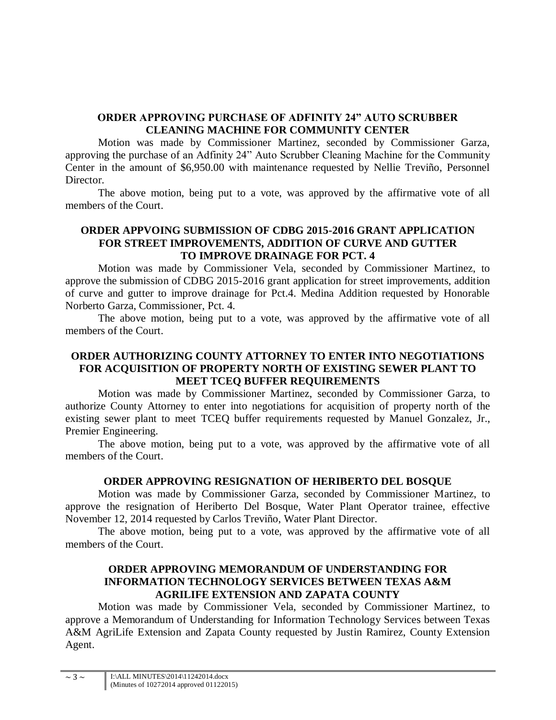# **ORDER APPROVING PURCHASE OF ADFINITY 24" AUTO SCRUBBER CLEANING MACHINE FOR COMMUNITY CENTER**

Motion was made by Commissioner Martinez, seconded by Commissioner Garza, approving the purchase of an Adfinity 24" Auto Scrubber Cleaning Machine for the Community Center in the amount of \$6,950.00 with maintenance requested by Nellie Treviño, Personnel Director.

The above motion, being put to a vote, was approved by the affirmative vote of all members of the Court.

# **ORDER APPVOING SUBMISSION OF CDBG 2015-2016 GRANT APPLICATION FOR STREET IMPROVEMENTS, ADDITION OF CURVE AND GUTTER TO IMPROVE DRAINAGE FOR PCT. 4**

Motion was made by Commissioner Vela, seconded by Commissioner Martinez, to approve the submission of CDBG 2015-2016 grant application for street improvements, addition of curve and gutter to improve drainage for Pct.4. Medina Addition requested by Honorable Norberto Garza, Commissioner, Pct. 4.

The above motion, being put to a vote, was approved by the affirmative vote of all members of the Court.

## **ORDER AUTHORIZING COUNTY ATTORNEY TO ENTER INTO NEGOTIATIONS FOR ACQUISITION OF PROPERTY NORTH OF EXISTING SEWER PLANT TO MEET TCEQ BUFFER REQUIREMENTS**

Motion was made by Commissioner Martinez, seconded by Commissioner Garza, to authorize County Attorney to enter into negotiations for acquisition of property north of the existing sewer plant to meet TCEQ buffer requirements requested by Manuel Gonzalez, Jr., Premier Engineering.

The above motion, being put to a vote, was approved by the affirmative vote of all members of the Court.

# **ORDER APPROVING RESIGNATION OF HERIBERTO DEL BOSQUE**

Motion was made by Commissioner Garza, seconded by Commissioner Martinez, to approve the resignation of Heriberto Del Bosque, Water Plant Operator trainee, effective November 12, 2014 requested by Carlos Treviño, Water Plant Director.

The above motion, being put to a vote, was approved by the affirmative vote of all members of the Court.

# **ORDER APPROVING MEMORANDUM OF UNDERSTANDING FOR INFORMATION TECHNOLOGY SERVICES BETWEEN TEXAS A&M AGRILIFE EXTENSION AND ZAPATA COUNTY**

Motion was made by Commissioner Vela, seconded by Commissioner Martinez, to approve a Memorandum of Understanding for Information Technology Services between Texas A&M AgriLife Extension and Zapata County requested by Justin Ramirez, County Extension Agent.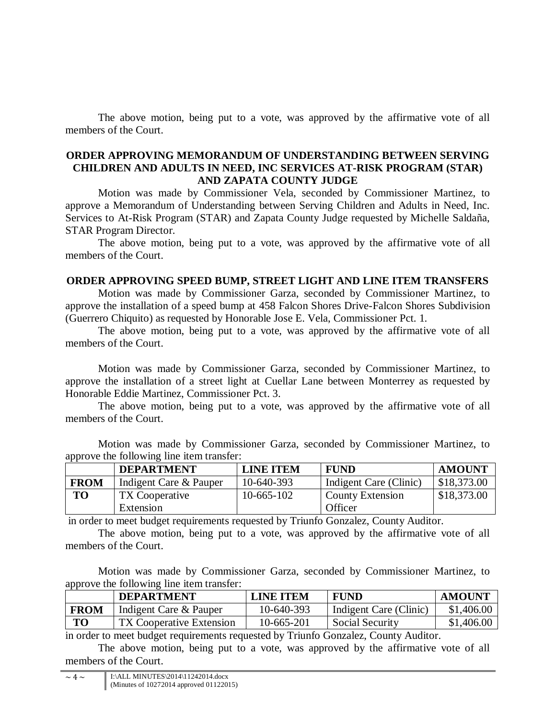The above motion, being put to a vote, was approved by the affirmative vote of all members of the Court.

#### **ORDER APPROVING MEMORANDUM OF UNDERSTANDING BETWEEN SERVING CHILDREN AND ADULTS IN NEED, INC SERVICES AT-RISK PROGRAM (STAR) AND ZAPATA COUNTY JUDGE**

Motion was made by Commissioner Vela, seconded by Commissioner Martinez, to approve a Memorandum of Understanding between Serving Children and Adults in Need, Inc. Services to At-Risk Program (STAR) and Zapata County Judge requested by Michelle Saldaña, STAR Program Director.

The above motion, being put to a vote, was approved by the affirmative vote of all members of the Court.

# **ORDER APPROVING SPEED BUMP, STREET LIGHT AND LINE ITEM TRANSFERS**

Motion was made by Commissioner Garza, seconded by Commissioner Martinez, to approve the installation of a speed bump at 458 Falcon Shores Drive-Falcon Shores Subdivision (Guerrero Chiquito) as requested by Honorable Jose E. Vela, Commissioner Pct. 1.

The above motion, being put to a vote, was approved by the affirmative vote of all members of the Court.

Motion was made by Commissioner Garza, seconded by Commissioner Martinez, to approve the installation of a street light at Cuellar Lane between Monterrey as requested by Honorable Eddie Martinez, Commissioner Pct. 3.

The above motion, being put to a vote, was approved by the affirmative vote of all members of the Court.

Motion was made by Commissioner Garza, seconded by Commissioner Martinez, to approve the following line item transfer:

|                | <b>DEPARTMENT</b>      | <b>LINE ITEM</b> | <b>FUND</b>            | <b>AMOUNT</b> |
|----------------|------------------------|------------------|------------------------|---------------|
| <b>FROM</b>    | Indigent Care & Pauper | 10-640-393       | Indigent Care (Clinic) | \$18,373.00   |
| T <sub>O</sub> | TX Cooperative         | $10-665-102$     | County Extension       | \$18,373.00   |
|                | Extension              |                  | Officer                |               |

in order to meet budget requirements requested by Triunfo Gonzalez, County Auditor.

 The above motion, being put to a vote, was approved by the affirmative vote of all members of the Court.

Motion was made by Commissioner Garza, seconded by Commissioner Martinez, to approve the following line item transfer:

|             | <b>DEPARTMENT</b>               | LINE ITEM  | <b>FUND</b>                                      | <b>AMOUNT</b> |
|-------------|---------------------------------|------------|--------------------------------------------------|---------------|
| <b>FROM</b> | Indigent Care & Pauper          | 10-640-393 | Indigent Care (Clinic)                           | \$1,406.00    |
| <b>TO</b>   | <b>TX Cooperative Extension</b> | 10-665-201 | <b>Social Security</b>                           | \$1,406.00    |
|             |                                 |            | $\sim$ $\sim$ $\sim$ $\sim$ $\sim$ $\sim$ $\sim$ |               |

in order to meet budget requirements requested by Triunfo Gonzalez, County Auditor.

The above motion, being put to a vote, was approved by the affirmative vote of all members of the Court.